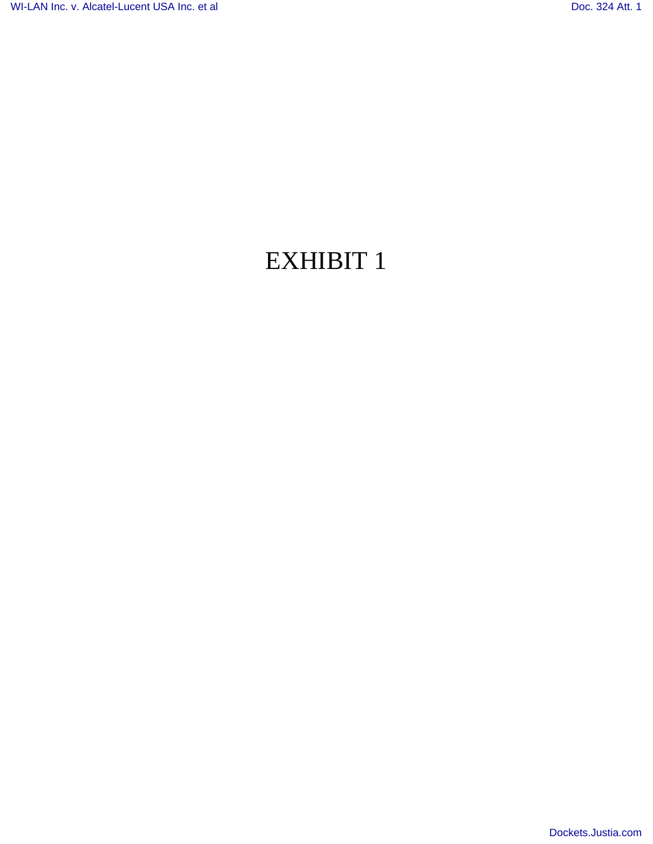## EXHIBIT 1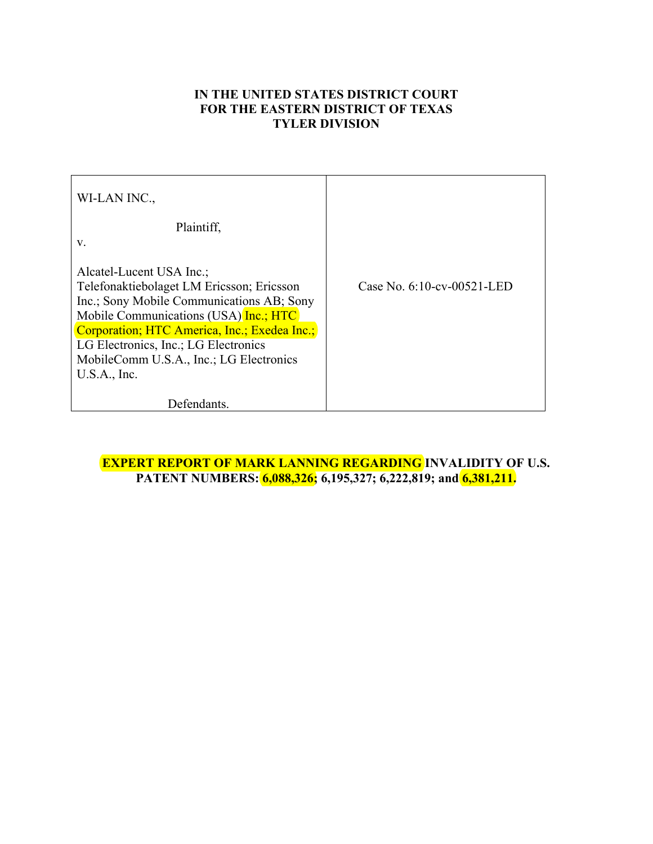## **IN THE UNITED STATES DISTRICT COURT FOR THE EASTERN DISTRICT OF TEXAS TYLER DIVISION**

| WI-LAN INC.                                  |                            |
|----------------------------------------------|----------------------------|
| Plaintiff.                                   |                            |
| V.                                           |                            |
| Alcatel-Lucent USA Inc.;                     |                            |
| Telefonaktiebolaget LM Ericsson; Ericsson    | Case No. 6:10-cv-00521-LED |
| Inc.; Sony Mobile Communications AB; Sony    |                            |
| Mobile Communications (USA) Inc.; HTC        |                            |
| Corporation; HTC America, Inc.; Exedea Inc.; |                            |
| LG Electronics, Inc.; LG Electronics         |                            |
| MobileComm U.S.A., Inc.; LG Electronics      |                            |
| U.S.A., Inc.                                 |                            |
|                                              |                            |
| Defendants.                                  |                            |

**EXPERT REPORT OF MARK LANNING REGARDING INVALIDITY OF U.S. PATENT NUMBERS: 6,088,326; 6,195,327; 6,222,819; and 6,381,211.**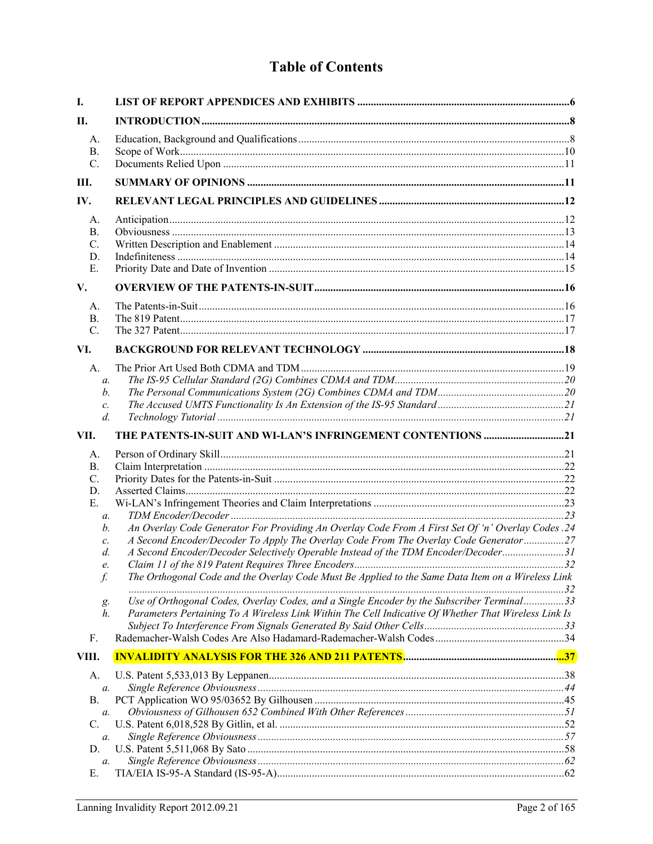## **Table of Contents**

| I.                                                                                                                          |                                                                                                                                                                                                                                                                                                                                                                                                                                                                                                                                                                                           |  |
|-----------------------------------------------------------------------------------------------------------------------------|-------------------------------------------------------------------------------------------------------------------------------------------------------------------------------------------------------------------------------------------------------------------------------------------------------------------------------------------------------------------------------------------------------------------------------------------------------------------------------------------------------------------------------------------------------------------------------------------|--|
| П.                                                                                                                          |                                                                                                                                                                                                                                                                                                                                                                                                                                                                                                                                                                                           |  |
| A.<br>В.<br>$\mathcal{C}$ .                                                                                                 |                                                                                                                                                                                                                                                                                                                                                                                                                                                                                                                                                                                           |  |
| Ш.                                                                                                                          |                                                                                                                                                                                                                                                                                                                                                                                                                                                                                                                                                                                           |  |
| IV.                                                                                                                         |                                                                                                                                                                                                                                                                                                                                                                                                                                                                                                                                                                                           |  |
| A.<br><b>B.</b><br>C.<br>D.<br>Е.                                                                                           |                                                                                                                                                                                                                                                                                                                                                                                                                                                                                                                                                                                           |  |
| V.                                                                                                                          |                                                                                                                                                                                                                                                                                                                                                                                                                                                                                                                                                                                           |  |
| А.<br><b>B.</b><br>$\mathcal{C}$ .                                                                                          |                                                                                                                                                                                                                                                                                                                                                                                                                                                                                                                                                                                           |  |
| VI.                                                                                                                         |                                                                                                                                                                                                                                                                                                                                                                                                                                                                                                                                                                                           |  |
| A.<br>$\mathfrak{a}$ .<br>b.<br>c.<br>$d$ .                                                                                 |                                                                                                                                                                                                                                                                                                                                                                                                                                                                                                                                                                                           |  |
| VII.                                                                                                                        |                                                                                                                                                                                                                                                                                                                                                                                                                                                                                                                                                                                           |  |
| A.<br><b>B.</b><br>$\mathcal{C}$ .<br>D.<br>Е.<br>$\mathfrak{a}$ .<br>b.<br>c.<br>d.<br>e.<br>f.<br>g.<br>h.<br>F.<br>VIII. | An Overlay Code Generator For Providing An Overlay Code From A First Set Of 'n' Overlay Codes .24<br>A Second Encoder/Decoder To Apply The Overlay Code From The Overlay Code Generator27<br>A Second Encoder/Decoder Selectively Operable Instead of the TDM Encoder/Decoder31<br>The Orthogonal Code and the Overlay Code Must Be Applied to the Same Data Item on a Wireless Link<br>Use of Orthogonal Codes, Overlay Codes, and a Single Encoder by the Subscriber Terminal33<br>Parameters Pertaining To A Wireless Link Within The Cell Indicative Of Whether That Wireless Link Is |  |
|                                                                                                                             |                                                                                                                                                                                                                                                                                                                                                                                                                                                                                                                                                                                           |  |
| А.<br>a.<br>В.<br>a.<br>C.<br>a.<br>D.                                                                                      |                                                                                                                                                                                                                                                                                                                                                                                                                                                                                                                                                                                           |  |
| a.<br>Е.                                                                                                                    |                                                                                                                                                                                                                                                                                                                                                                                                                                                                                                                                                                                           |  |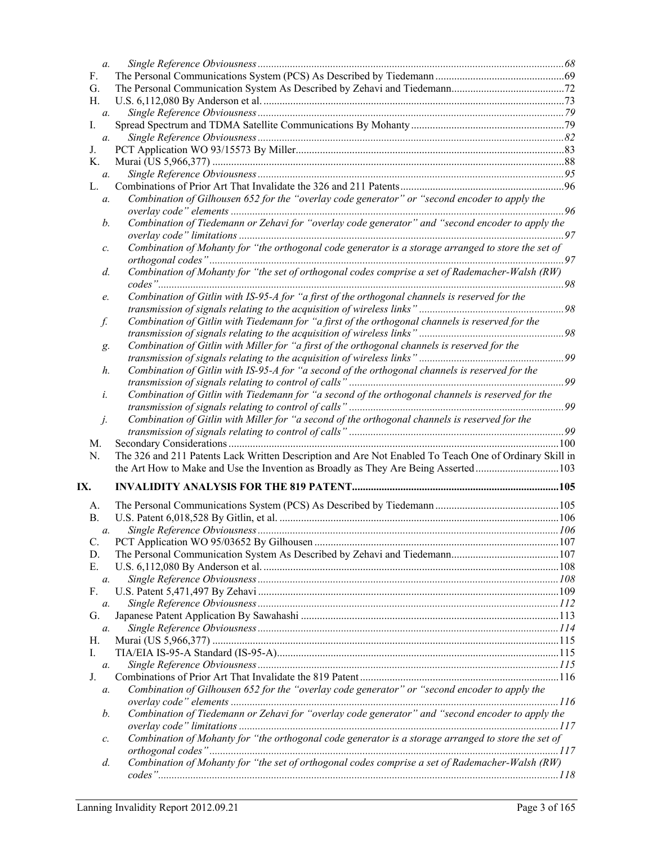| $a$ .           |                                                                                                        |  |
|-----------------|--------------------------------------------------------------------------------------------------------|--|
| F.              |                                                                                                        |  |
| G.              |                                                                                                        |  |
| Η.              |                                                                                                        |  |
| а.              |                                                                                                        |  |
| I.              |                                                                                                        |  |
| $a$ .           |                                                                                                        |  |
| J.              |                                                                                                        |  |
| Κ.              |                                                                                                        |  |
| $a$ .           |                                                                                                        |  |
| L.              |                                                                                                        |  |
| a.              | Combination of Gilhousen 652 for the "overlay code generator" or "second encoder to apply the          |  |
|                 |                                                                                                        |  |
| b.              | Combination of Tiedemann or Zehavi for "overlay code generator" and "second encoder to apply the       |  |
|                 |                                                                                                        |  |
| с.              | Combination of Mohanty for "the orthogonal code generator is a storage arranged to store the set of    |  |
|                 |                                                                                                        |  |
| d.              | Combination of Mohanty for "the set of orthogonal codes comprise a set of Rademacher-Walsh (RW)        |  |
|                 |                                                                                                        |  |
| e.              | Combination of Gitlin with IS-95-A for "a first of the orthogonal channels is reserved for the         |  |
|                 |                                                                                                        |  |
| f.              | Combination of Gitlin with Tiedemann for "a first of the orthogonal channels is reserved for the       |  |
|                 |                                                                                                        |  |
| g.              | Combination of Gitlin with Miller for "a first of the orthogonal channels is reserved for the          |  |
|                 |                                                                                                        |  |
| h.              | Combination of Gitlin with IS-95-A for "a second of the orthogonal channels is reserved for the        |  |
|                 |                                                                                                        |  |
| i.              | Combination of Gitlin with Tiedemann for "a second of the orthogonal channels is reserved for the      |  |
|                 |                                                                                                        |  |
| j.              | Combination of Gitlin with Miller for "a second of the orthogonal channels is reserved for the         |  |
|                 |                                                                                                        |  |
| M.              |                                                                                                        |  |
| N.              | The 326 and 211 Patents Lack Written Description and Are Not Enabled To Teach One of Ordinary Skill in |  |
|                 | the Art How to Make and Use the Invention as Broadly as They Are Being Asserted103                     |  |
| IX.             |                                                                                                        |  |
| A.              |                                                                                                        |  |
| <b>B.</b>       |                                                                                                        |  |
|                 |                                                                                                        |  |
| а.<br>C.        |                                                                                                        |  |
| D.              |                                                                                                        |  |
| Е.              |                                                                                                        |  |
| a.              |                                                                                                        |  |
| $F_{\cdot}$     |                                                                                                        |  |
| a.              |                                                                                                        |  |
| G.              |                                                                                                        |  |
| a.              |                                                                                                        |  |
| Н.              |                                                                                                        |  |
| I.              |                                                                                                        |  |
| a.              |                                                                                                        |  |
| J.              |                                                                                                        |  |
| а.              | Combination of Gilhousen 652 for the "overlay code generator" or "second encoder to apply the          |  |
|                 |                                                                                                        |  |
| b.              | Combination of Tiedemann or Zehavi for "overlay code generator" and "second encoder to apply the       |  |
|                 |                                                                                                        |  |
| $\mathcal{C}$ . | Combination of Mohanty for "the orthogonal code generator is a storage arranged to store the set of    |  |
|                 |                                                                                                        |  |
| d.              | Combination of Mohanty for "the set of orthogonal codes comprise a set of Rademacher-Walsh (RW)        |  |
|                 |                                                                                                        |  |
|                 |                                                                                                        |  |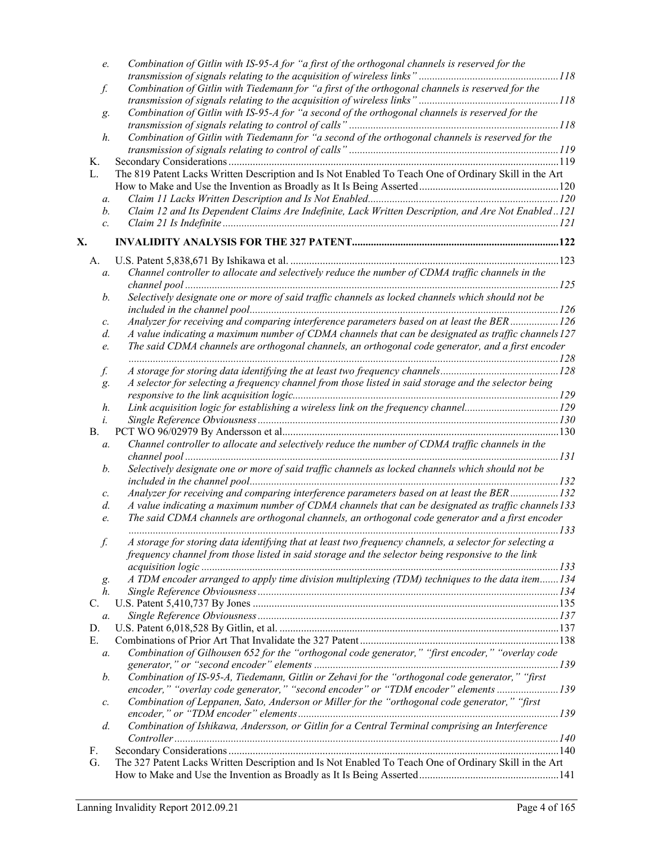|    | e.               | Combination of Gitlin with IS-95-A for "a first of the orthogonal channels is reserved for the          |  |
|----|------------------|---------------------------------------------------------------------------------------------------------|--|
|    |                  |                                                                                                         |  |
|    | f.               | Combination of Gitlin with Tiedemann for "a first of the orthogonal channels is reserved for the        |  |
|    |                  |                                                                                                         |  |
|    | g.               | Combination of Gitlin with IS-95-A for "a second of the orthogonal channels is reserved for the         |  |
|    |                  |                                                                                                         |  |
|    | $h$ .            | Combination of Gitlin with Tiedemann for "a second of the orthogonal channels is reserved for the       |  |
|    |                  |                                                                                                         |  |
|    | Κ.               |                                                                                                         |  |
|    | L.               | The 819 Patent Lacks Written Description and Is Not Enabled To Teach One of Ordinary Skill in the Art   |  |
|    |                  |                                                                                                         |  |
|    | a.               |                                                                                                         |  |
|    | b.               | Claim 12 and Its Dependent Claims Are Indefinite, Lack Written Description, and Are Not Enabled121      |  |
|    | $\mathcal{C}$ .  |                                                                                                         |  |
| X. |                  |                                                                                                         |  |
|    |                  |                                                                                                         |  |
|    | A.               | Channel controller to allocate and selectively reduce the number of CDMA traffic channels in the        |  |
|    | $\mathfrak{a}$ . |                                                                                                         |  |
|    |                  |                                                                                                         |  |
|    | b.               | Selectively designate one or more of said traffic channels as locked channels which should not be       |  |
|    |                  |                                                                                                         |  |
|    | с.               | Analyzer for receiving and comparing interference parameters based on at least the BER126               |  |
|    | d.               | A value indicating a maximum number of CDMA channels that can be designated as traffic channels 127     |  |
|    | e.               | The said CDMA channels are orthogonal channels, an orthogonal code generator, and a first encoder       |  |
|    | f.               |                                                                                                         |  |
|    | g.               | A selector for selecting a frequency channel from those listed in said storage and the selector being   |  |
|    |                  |                                                                                                         |  |
|    | h.               | Link acquisition logic for establishing a wireless link on the frequency channel129                     |  |
|    | $\dot{i}$ .      |                                                                                                         |  |
|    | Β.               |                                                                                                         |  |
|    | a.               | Channel controller to allocate and selectively reduce the number of CDMA traffic channels in the        |  |
|    |                  |                                                                                                         |  |
|    | b.               | Selectively designate one or more of said traffic channels as locked channels which should not be       |  |
|    |                  |                                                                                                         |  |
|    | с.               | Analyzer for receiving and comparing interference parameters based on at least the BER132               |  |
|    | d.               | A value indicating a maximum number of CDMA channels that can be designated as traffic channels 133     |  |
|    | e.               | The said CDMA channels are orthogonal channels, an orthogonal code generator and a first encoder        |  |
|    |                  |                                                                                                         |  |
|    | f.               | A storage for storing data identifying that at least two frequency channels, a selector for selecting a |  |
|    |                  | frequency channel from those listed in said storage and the selector being responsive to the link       |  |
|    |                  |                                                                                                         |  |
|    | g.               | A TDM encoder arranged to apply time division multiplexing (TDM) techniques to the data item134         |  |
|    | h.               |                                                                                                         |  |
|    | C.               |                                                                                                         |  |
|    | a.               |                                                                                                         |  |
|    | D.               |                                                                                                         |  |
|    | Е.               |                                                                                                         |  |
|    | a.               | Combination of Gilhousen 652 for the "orthogonal code generator," "first encoder," "overlay code        |  |
|    |                  |                                                                                                         |  |
|    | b.               | Combination of IS-95-A, Tiedemann, Gitlin or Zehavi for the "orthogonal code generator," "first         |  |
|    |                  | encoder," "overlay code generator," "second encoder" or "TDM encoder" elements 139                      |  |
|    | с.               | Combination of Leppanen, Sato, Anderson or Miller for the "orthogonal code generator," "first           |  |
|    |                  |                                                                                                         |  |
|    | $d$ .            | Combination of Ishikawa, Andersson, or Gitlin for a Central Terminal comprising an Interference         |  |
|    |                  |                                                                                                         |  |
|    | F.               |                                                                                                         |  |
|    | G.               | The 327 Patent Lacks Written Description and Is Not Enabled To Teach One of Ordinary Skill in the Art   |  |
|    |                  |                                                                                                         |  |